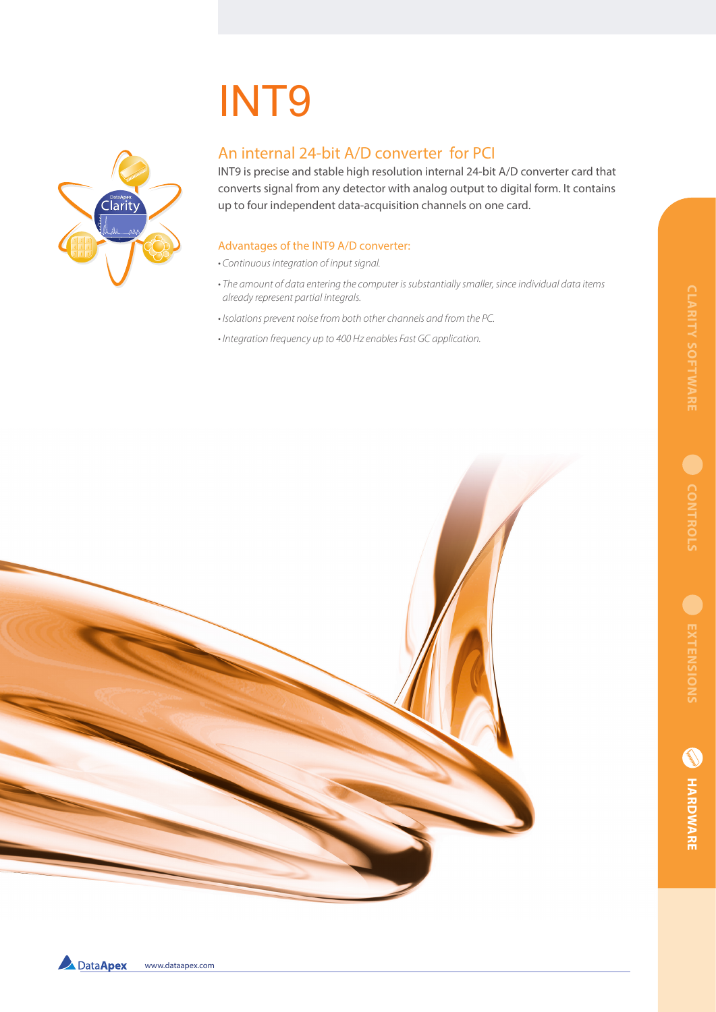# INT9



# An internal 24-bit A/D converter for PCI

INT9 is precise and stable high resolution internal 24-bit A/D converter card that converts signal from any detector with analog output to digital form. It contains up to four independent data-acquisition channels on one card.

### Advantages of the INT9 A/D converter:

- *Continuous integration of input signal.*
- *The amount of data entering the computer is substantially smaller, since individual data items already represent partial integrals.*
- *Isolations prevent noise from both other channels and from the PC.*
- *Integration frequency up to 400 Hz enables Fast GC application.*



**HARDWARE**

**SEPTARDNARE**